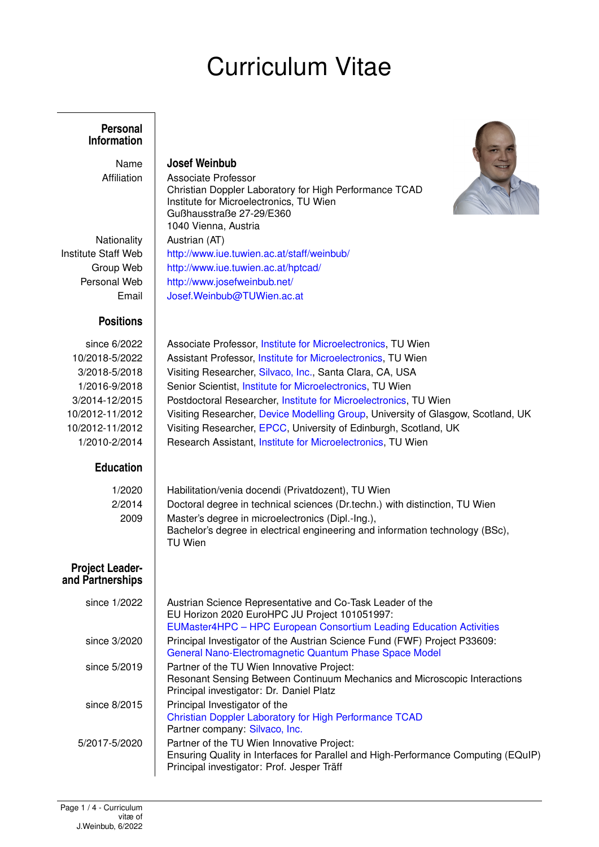# Curriculum Vitae

Christian Doppler Laboratory for High Performance TCAD

Institute for Microelectronics, TU Wien

Gußhausstraße 27-29/E360 1040 Vienna, Austria

#### **Personal Information**

Name **Josef Weinbub** Affiliation | Associate Professor

Nationality | Austrian (AT) Institute Staff Web <http://www.iue.tuwien.ac.at/staff/weinbub/> Group Web | <http://www.iue.tuwien.ac.at/hptcad/> Personal Web | <http://www.josefweinbub.net/> Email [Josef.Weinbub@TUWien.ac.at](mailto:josef.weinbub@tuwien.ac.at)

### **Positions**

## **Education**

1/2020 Habilitation/venia docendi (Privatdozent), TU Wien 2/2014 Doctoral degree in technical sciences (Dr.techn.) with distinction, TU Wien 2009 Master's degree in microelectronics (Dipl.-Ing.),

TU Wien

#### **Project Leader**and

| <b>Partnerships</b> |                                                                                                                                                                                   |
|---------------------|-----------------------------------------------------------------------------------------------------------------------------------------------------------------------------------|
| since 1/2022        | Austrian Science Representative and Co-Task Leader of the<br>EU Horizon 2020 EuroHPC JU Project 101051997:<br>EUMaster4HPC - HPC European Consortium Leading Education Activities |
| since 3/2020        | Principal Investigator of the Austrian Science Fund (FWF) Project P33609:<br>General Nano-Electromagnetic Quantum Phase Space Model                                               |
| since 5/2019        | Partner of the TU Wien Innovative Project:<br>Resonant Sensing Between Continuum Mechanics and Microscopic Interactions<br>Principal investigator: Dr. Daniel Platz               |
| since 8/2015        | Principal Investigator of the<br><b>Christian Doppler Laboratory for High Performance TCAD</b><br>Partner company: Silvaco, Inc.                                                  |
| 5/2017-5/2020       | Partner of the TU Wien Innovative Project:<br>Ensuring Quality in Interfaces for Parallel and High-Performance Computing (EQuIP)<br>Principal investigator: Prof. Jesper Träff    |
|                     |                                                                                                                                                                                   |



since 6/2022 | Associate Professor, [Institute for Microelectronics,](http://www.iue.tuwien.ac.at) TU Wien 10/2018-5/2022 Assistant Professor, [Institute for Microelectronics,](http://www.iue.tuwien.ac.at) TU Wien 3/2018-5/2018 Visiting Researcher, [Silvaco, Inc.,](http://www.silvaco.com) Santa Clara, CA, USA 1/2016-9/2018 | Senior Scientist, [Institute for Microelectronics,](http://www.iue.tuwien.ac.at) TU Wien 3/2014-12/2015 Postdoctoral Researcher, [Institute for Microelectronics,](http://www.iue.tuwien.ac.at) TU Wien 10/2012-11/2012 Visiting Researcher, [Device Modelling Group,](http://web.eng.gla.ac.uk/groups/devmod/) University of Glasgow, Scotland, UK 10/2012-11/2012 | Visiting Researcher, [EPCC,](http://www.epcc.ed.ac.uk/) University of Edinburgh, Scotland, UK 1/2010-2/2014 | Research Assistant, [Institute for Microelectronics,](http://www.iue.tuwien.ac.at) TU Wien

Bachelor's degree in electrical engineering and information technology (BSc),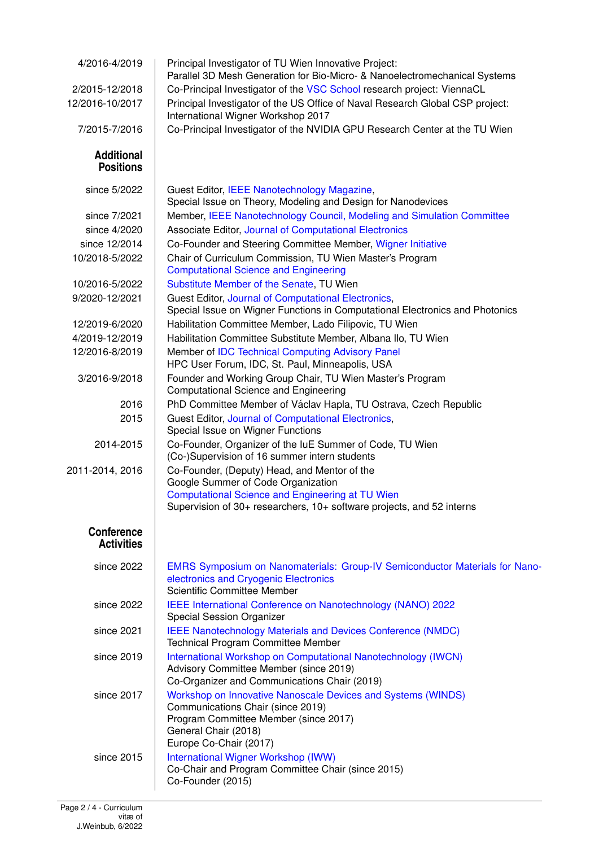| 4/2016-4/2019                          | Principal Investigator of TU Wien Innovative Project:<br>Parallel 3D Mesh Generation for Bio-Micro- & Nanoelectromechanical Systems                                                          |
|----------------------------------------|----------------------------------------------------------------------------------------------------------------------------------------------------------------------------------------------|
| 2/2015-12/2018                         | Co-Principal Investigator of the VSC School research project: ViennaCL                                                                                                                       |
| 12/2016-10/2017                        | Principal Investigator of the US Office of Naval Research Global CSP project:<br>International Wigner Workshop 2017                                                                          |
| 7/2015-7/2016                          | Co-Principal Investigator of the NVIDIA GPU Research Center at the TU Wien                                                                                                                   |
| <b>Additional</b><br><b>Positions</b>  |                                                                                                                                                                                              |
| since 5/2022                           | Guest Editor, IEEE Nanotechnology Magazine,<br>Special Issue on Theory, Modeling and Design for Nanodevices                                                                                  |
| since 7/2021                           | Member, IEEE Nanotechnology Council, Modeling and Simulation Committee                                                                                                                       |
| since 4/2020                           | Associate Editor, Journal of Computational Electronics                                                                                                                                       |
| since 12/2014                          | Co-Founder and Steering Committee Member, Wigner Initiative                                                                                                                                  |
| 10/2018-5/2022                         | Chair of Curriculum Commission, TU Wien Master's Program<br><b>Computational Science and Engineering</b>                                                                                     |
| 10/2016-5/2022                         | Substitute Member of the Senate, TU Wien                                                                                                                                                     |
| 9/2020-12/2021                         | Guest Editor, Journal of Computational Electronics,<br>Special Issue on Wigner Functions in Computational Electronics and Photonics                                                          |
| 12/2019-6/2020                         | Habilitation Committee Member, Lado Filipovic, TU Wien                                                                                                                                       |
| 4/2019-12/2019                         | Habilitation Committee Substitute Member, Albana Ilo, TU Wien                                                                                                                                |
| 12/2016-8/2019                         | Member of IDC Technical Computing Advisory Panel<br>HPC User Forum, IDC, St. Paul, Minneapolis, USA                                                                                          |
| 3/2016-9/2018                          | Founder and Working Group Chair, TU Wien Master's Program<br><b>Computational Science and Engineering</b>                                                                                    |
| 2016                                   | PhD Committee Member of Václav Hapla, TU Ostrava, Czech Republic                                                                                                                             |
| 2015                                   | Guest Editor, Journal of Computational Electronics,<br>Special Issue on Wigner Functions                                                                                                     |
| 2014-2015                              | Co-Founder, Organizer of the luE Summer of Code, TU Wien<br>(Co-)Supervision of 16 summer intern students                                                                                    |
| 2011-2014, 2016                        | Co-Founder, (Deputy) Head, and Mentor of the<br>Google Summer of Code Organization<br><b>Computational Science and Engineering at TU Wien</b>                                                |
|                                        | Supervision of 30+ researchers, 10+ software projects, and 52 interns                                                                                                                        |
| <b>Conference</b><br><b>Activities</b> |                                                                                                                                                                                              |
| since 2022                             | <b>EMRS Symposium on Nanomaterials: Group-IV Semiconductor Materials for Nano-</b><br>electronics and Cryogenic Electronics<br>Scientific Committee Member                                   |
| since 2022                             | IEEE International Conference on Nanotechnology (NANO) 2022<br>Special Session Organizer                                                                                                     |
| since 2021                             | <b>IEEE Nanotechnology Materials and Devices Conference (NMDC)</b><br>Technical Program Committee Member                                                                                     |
| since 2019                             | International Workshop on Computational Nanotechnology (IWCN)<br>Advisory Committee Member (since 2019)<br>Co-Organizer and Communications Chair (2019)                                      |
| since 2017                             | Workshop on Innovative Nanoscale Devices and Systems (WINDS)<br>Communications Chair (since 2019)<br>Program Committee Member (since 2017)<br>General Chair (2018)<br>Europe Co-Chair (2017) |
| since 2015                             | International Wigner Workshop (IWW)<br>Co-Chair and Program Committee Chair (since 2015)<br>Co-Founder (2015)                                                                                |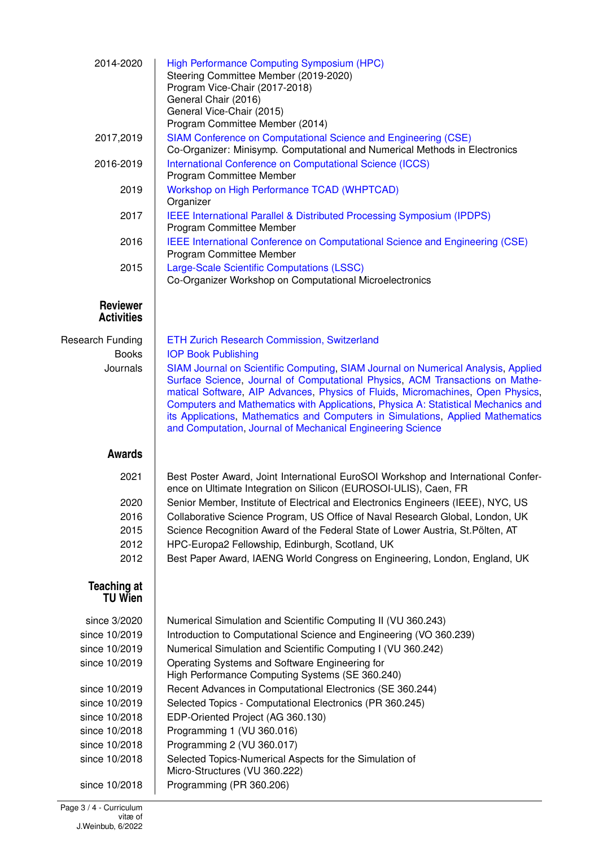| 2014-2020                            | <b>High Performance Computing Symposium (HPC)</b><br>Steering Committee Member (2019-2020)<br>Program Vice-Chair (2017-2018)<br>General Chair (2016)<br>General Vice-Chair (2015)<br>Program Committee Member (2014)                                                                                                                                                                                                                                                                                                      |
|--------------------------------------|---------------------------------------------------------------------------------------------------------------------------------------------------------------------------------------------------------------------------------------------------------------------------------------------------------------------------------------------------------------------------------------------------------------------------------------------------------------------------------------------------------------------------|
| 2017,2019                            | SIAM Conference on Computational Science and Engineering (CSE)<br>Co-Organizer: Minisymp. Computational and Numerical Methods in Electronics                                                                                                                                                                                                                                                                                                                                                                              |
| 2016-2019                            | International Conference on Computational Science (ICCS)<br>Program Committee Member                                                                                                                                                                                                                                                                                                                                                                                                                                      |
| 2019                                 | Workshop on High Performance TCAD (WHPTCAD)<br>Organizer                                                                                                                                                                                                                                                                                                                                                                                                                                                                  |
| 2017                                 | IEEE International Parallel & Distributed Processing Symposium (IPDPS)<br>Program Committee Member                                                                                                                                                                                                                                                                                                                                                                                                                        |
| 2016                                 | <b>IEEE International Conference on Computational Science and Engineering (CSE)</b><br>Program Committee Member                                                                                                                                                                                                                                                                                                                                                                                                           |
| 2015                                 | Large-Scale Scientific Computations (LSSC)<br>Co-Organizer Workshop on Computational Microelectronics                                                                                                                                                                                                                                                                                                                                                                                                                     |
| Reviewer<br><b>Activities</b>        |                                                                                                                                                                                                                                                                                                                                                                                                                                                                                                                           |
| <b>Research Funding</b>              | ETH Zurich Research Commission, Switzerland                                                                                                                                                                                                                                                                                                                                                                                                                                                                               |
| <b>Books</b><br>Journals             | <b>IOP Book Publishing</b><br>SIAM Journal on Scientific Computing, SIAM Journal on Numerical Analysis, Applied<br>Surface Science, Journal of Computational Physics, ACM Transactions on Mathe-<br>matical Software, AIP Advances, Physics of Fluids, Micromachines, Open Physics,<br>Computers and Mathematics with Applications, Physica A: Statistical Mechanics and<br>its Applications, Mathematics and Computers in Simulations, Applied Mathematics<br>and Computation, Journal of Mechanical Engineering Science |
| <b>Awards</b>                        |                                                                                                                                                                                                                                                                                                                                                                                                                                                                                                                           |
| 2021                                 | Best Poster Award, Joint International EuroSOI Workshop and International Confer-<br>ence on Ultimate Integration on Silicon (EUROSOI-ULIS), Caen, FR                                                                                                                                                                                                                                                                                                                                                                     |
| 2020<br>2016                         | Senior Member, Institute of Electrical and Electronics Engineers (IEEE), NYC, US<br>Collaborative Science Program, US Office of Naval Research Global, London, UK                                                                                                                                                                                                                                                                                                                                                         |
| 2015                                 | Science Recognition Award of the Federal State of Lower Austria, St. Pölten, AT                                                                                                                                                                                                                                                                                                                                                                                                                                           |
| 2012                                 | HPC-Europa2 Fellowship, Edinburgh, Scotland, UK                                                                                                                                                                                                                                                                                                                                                                                                                                                                           |
| 2012                                 | Best Paper Award, IAENG World Congress on Engineering, London, England, UK                                                                                                                                                                                                                                                                                                                                                                                                                                                |
| <b>Teaching at</b><br><b>TU Wien</b> |                                                                                                                                                                                                                                                                                                                                                                                                                                                                                                                           |
| since 3/2020                         | Numerical Simulation and Scientific Computing II (VU 360.243)                                                                                                                                                                                                                                                                                                                                                                                                                                                             |
| since 10/2019                        | Introduction to Computational Science and Engineering (VO 360.239)                                                                                                                                                                                                                                                                                                                                                                                                                                                        |
| since 10/2019                        | Numerical Simulation and Scientific Computing I (VU 360.242)                                                                                                                                                                                                                                                                                                                                                                                                                                                              |
| since 10/2019                        | Operating Systems and Software Engineering for<br>High Performance Computing Systems (SE 360.240)                                                                                                                                                                                                                                                                                                                                                                                                                         |
| since 10/2019                        | Recent Advances in Computational Electronics (SE 360.244)                                                                                                                                                                                                                                                                                                                                                                                                                                                                 |
| since 10/2019                        | Selected Topics - Computational Electronics (PR 360.245)                                                                                                                                                                                                                                                                                                                                                                                                                                                                  |
| since 10/2018                        | EDP-Oriented Project (AG 360.130)                                                                                                                                                                                                                                                                                                                                                                                                                                                                                         |
| since 10/2018                        | Programming 1 (VU 360.016)                                                                                                                                                                                                                                                                                                                                                                                                                                                                                                |
| since 10/2018<br>since 10/2018       | Programming 2 (VU 360.017)<br>Selected Topics-Numerical Aspects for the Simulation of<br>Micro-Structures (VU 360.222)                                                                                                                                                                                                                                                                                                                                                                                                    |
| since 10/2018                        | Programming (PR 360.206)                                                                                                                                                                                                                                                                                                                                                                                                                                                                                                  |